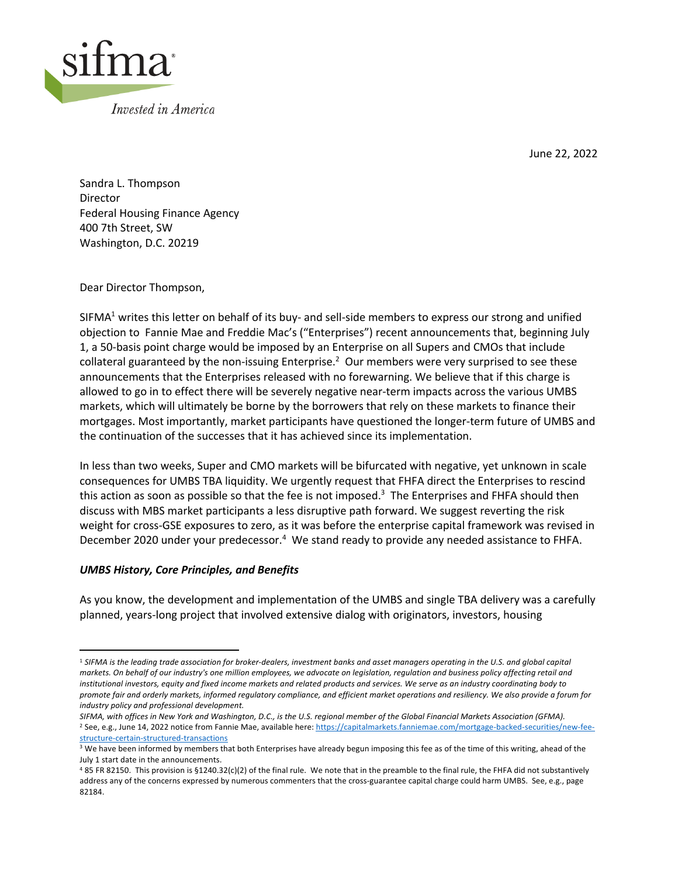

June 22, 2022

Sandra L. Thompson Director Federal Housing Finance Agency 400 7th Street, SW Washington, D.C. 20219

Dear Director Thompson,

SIFMA<sup>1</sup> writes this letter on behalf of its buy- and sell-side members to express our strong and unified objection to Fannie Mae and Freddie Mac's ("Enterprises") recent announcements that, beginning July 1, a 50-basis point charge would be imposed by an Enterprise on all Supers and CMOs that include collateral guaranteed by the non-issuing Enterprise.<sup>2</sup> Our members were very surprised to see these announcements that the Enterprises released with no forewarning. We believe that if this charge is allowed to go in to effect there will be severely negative near-term impacts across the various UMBS markets, which will ultimately be borne by the borrowers that rely on these markets to finance their mortgages. Most importantly, market participants have questioned the longer-term future of UMBS and the continuation of the successes that it has achieved since its implementation.

In less than two weeks, Super and CMO markets will be bifurcated with negative, yet unknown in scale consequences for UMBS TBA liquidity. We urgently request that FHFA direct the Enterprises to rescind this action as soon as possible so that the fee is not imposed.<sup>3</sup> The Enterprises and FHFA should then discuss with MBS market participants a less disruptive path forward. We suggest reverting the risk weight for cross-GSE exposures to zero, as it was before the enterprise capital framework was revised in December 2020 under your predecessor.<sup>4</sup> We stand ready to provide any needed assistance to FHFA.

## *UMBS History, Core Principles, and Benefits*

As you know, the development and implementation of the UMBS and single TBA delivery was a carefully planned, years-long project that involved extensive dialog with originators, investors, housing

<sup>1</sup> *SIFMA is the leading trade association for broker-dealers, investment banks and asset managers operating in the U.S. and global capital markets. On behalf of our industry's one million employees, we advocate on legislation, regulation and business policy affecting retail and institutional investors, equity and fixed income markets and related products and services. We serve as an industry coordinating body to promote fair and orderly markets, informed regulatory compliance, and efficient market operations and resiliency. We also provide a forum for industry policy and professional development.*

*SIFMA, with offices in New York and Washington, D.C., is the U.S. regional member of the Global Financial Markets Association (GFMA).* <sup>2</sup> See, e.g., June 14, 2022 notice from Fannie Mae, available here: https://capitalmarkets.fanniemae.com/mortgage-backed-securities/new-feestructure-certain-structured-transactions

<sup>&</sup>lt;sup>3</sup> We have been informed by members that both Enterprises have already begun imposing this fee as of the time of this writing, ahead of the July 1 start date in the announcements.

<sup>4</sup> 85 FR 82150. This provision is §1240.32(c)(2) of the final rule. We note that in the preamble to the final rule, the FHFA did not substantively address any of the concerns expressed by numerous commenters that the cross-guarantee capital charge could harm UMBS. See, e.g., page 82184.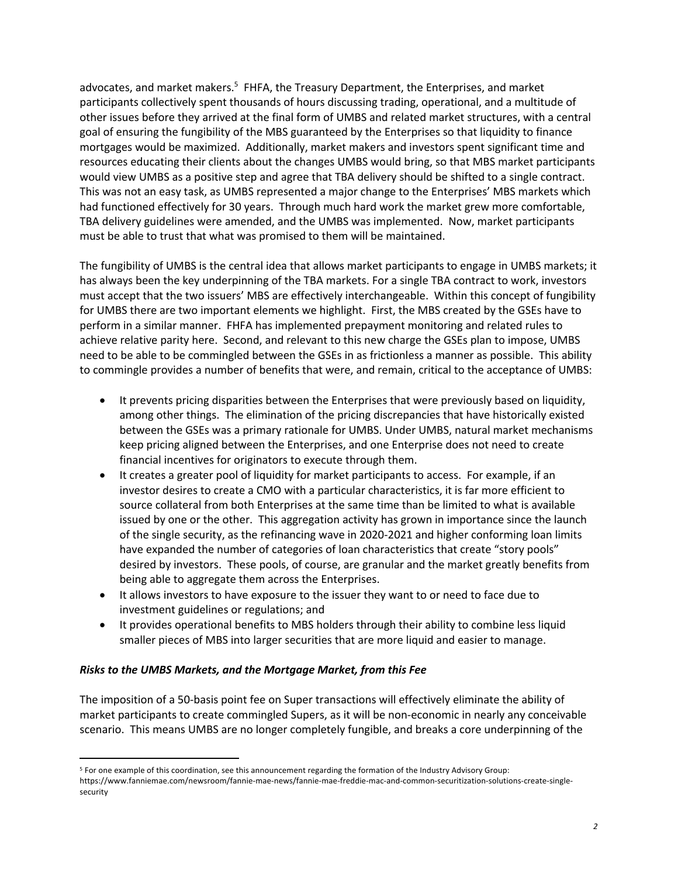advocates, and market makers.<sup>5</sup> FHFA, the Treasury Department, the Enterprises, and market participants collectively spent thousands of hours discussing trading, operational, and a multitude of other issues before they arrived at the final form of UMBS and related market structures, with a central goal of ensuring the fungibility of the MBS guaranteed by the Enterprises so that liquidity to finance mortgages would be maximized. Additionally, market makers and investors spent significant time and resources educating their clients about the changes UMBS would bring, so that MBS market participants would view UMBS as a positive step and agree that TBA delivery should be shifted to a single contract. This was not an easy task, as UMBS represented a major change to the Enterprises' MBS markets which had functioned effectively for 30 years. Through much hard work the market grew more comfortable, TBA delivery guidelines were amended, and the UMBS was implemented. Now, market participants must be able to trust that what was promised to them will be maintained.

The fungibility of UMBS is the central idea that allows market participants to engage in UMBS markets; it has always been the key underpinning of the TBA markets. For a single TBA contract to work, investors must accept that the two issuers' MBS are effectively interchangeable. Within this concept of fungibility for UMBS there are two important elements we highlight. First, the MBS created by the GSEs have to perform in a similar manner. FHFA has implemented prepayment monitoring and related rules to achieve relative parity here. Second, and relevant to this new charge the GSEs plan to impose, UMBS need to be able to be commingled between the GSEs in as frictionless a manner as possible. This ability to commingle provides a number of benefits that were, and remain, critical to the acceptance of UMBS:

- It prevents pricing disparities between the Enterprises that were previously based on liquidity, among other things. The elimination of the pricing discrepancies that have historically existed between the GSEs was a primary rationale for UMBS. Under UMBS, natural market mechanisms keep pricing aligned between the Enterprises, and one Enterprise does not need to create financial incentives for originators to execute through them.
- It creates a greater pool of liquidity for market participants to access. For example, if an investor desires to create a CMO with a particular characteristics, it is far more efficient to source collateral from both Enterprises at the same time than be limited to what is available issued by one or the other. This aggregation activity has grown in importance since the launch of the single security, as the refinancing wave in 2020-2021 and higher conforming loan limits have expanded the number of categories of loan characteristics that create "story pools" desired by investors. These pools, of course, are granular and the market greatly benefits from being able to aggregate them across the Enterprises.
- It allows investors to have exposure to the issuer they want to or need to face due to investment guidelines or regulations; and
- It provides operational benefits to MBS holders through their ability to combine less liquid smaller pieces of MBS into larger securities that are more liquid and easier to manage.

## *Risks to the UMBS Markets, and the Mortgage Market, from this Fee*

The imposition of a 50-basis point fee on Super transactions will effectively eliminate the ability of market participants to create commingled Supers, as it will be non-economic in nearly any conceivable scenario. This means UMBS are no longer completely fungible, and breaks a core underpinning of the

<sup>5</sup> For one example of this coordination, see this announcement regarding the formation of the Industry Advisory Group:

https://www.fanniemae.com/newsroom/fannie-mae-news/fannie-mae-freddie-mac-and-common-securitization-solutions-create-singlesecurity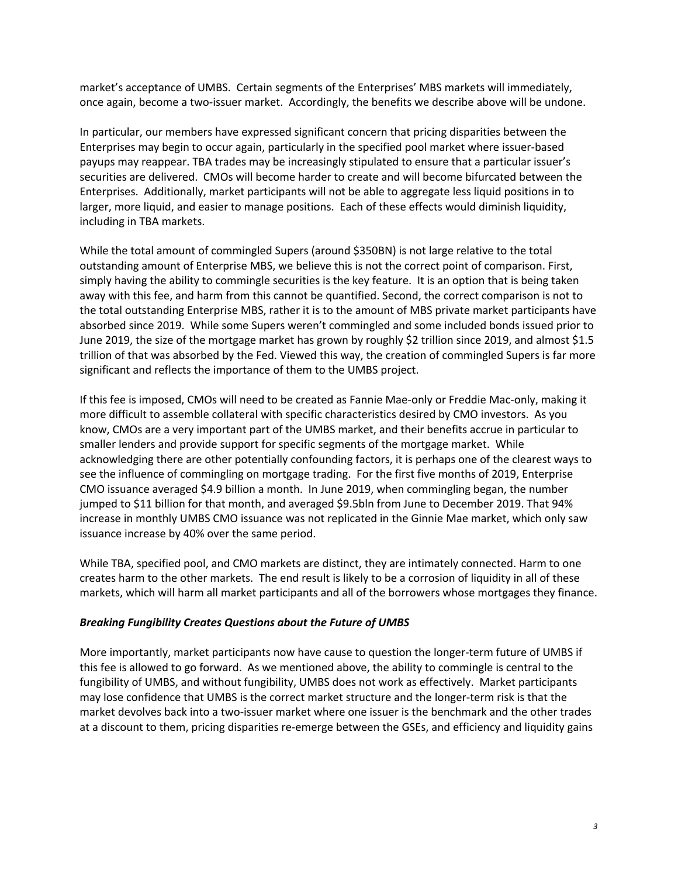market's acceptance of UMBS. Certain segments of the Enterprises' MBS markets will immediately, once again, become a two-issuer market. Accordingly, the benefits we describe above will be undone.

In particular, our members have expressed significant concern that pricing disparities between the Enterprises may begin to occur again, particularly in the specified pool market where issuer-based payups may reappear. TBA trades may be increasingly stipulated to ensure that a particular issuer's securities are delivered. CMOs will become harder to create and will become bifurcated between the Enterprises. Additionally, market participants will not be able to aggregate less liquid positions in to larger, more liquid, and easier to manage positions. Each of these effects would diminish liquidity, including in TBA markets.

While the total amount of commingled Supers (around \$350BN) is not large relative to the total outstanding amount of Enterprise MBS, we believe this is not the correct point of comparison. First, simply having the ability to commingle securities is the key feature. It is an option that is being taken away with this fee, and harm from this cannot be quantified. Second, the correct comparison is not to the total outstanding Enterprise MBS, rather it is to the amount of MBS private market participants have absorbed since 2019. While some Supers weren't commingled and some included bonds issued prior to June 2019, the size of the mortgage market has grown by roughly \$2 trillion since 2019, and almost \$1.5 trillion of that was absorbed by the Fed. Viewed this way, the creation of commingled Supers is far more significant and reflects the importance of them to the UMBS project.

If this fee is imposed, CMOs will need to be created as Fannie Mae-only or Freddie Mac-only, making it more difficult to assemble collateral with specific characteristics desired by CMO investors. As you know, CMOs are a very important part of the UMBS market, and their benefits accrue in particular to smaller lenders and provide support for specific segments of the mortgage market. While acknowledging there are other potentially confounding factors, it is perhaps one of the clearest ways to see the influence of commingling on mortgage trading. For the first five months of 2019, Enterprise CMO issuance averaged \$4.9 billion a month. In June 2019, when commingling began, the number jumped to \$11 billion for that month, and averaged \$9.5bln from June to December 2019. That 94% increase in monthly UMBS CMO issuance was not replicated in the Ginnie Mae market, which only saw issuance increase by 40% over the same period.

While TBA, specified pool, and CMO markets are distinct, they are intimately connected. Harm to one creates harm to the other markets. The end result is likely to be a corrosion of liquidity in all of these markets, which will harm all market participants and all of the borrowers whose mortgages they finance.

## *Breaking Fungibility Creates Questions about the Future of UMBS*

More importantly, market participants now have cause to question the longer-term future of UMBS if this fee is allowed to go forward. As we mentioned above, the ability to commingle is central to the fungibility of UMBS, and without fungibility, UMBS does not work as effectively. Market participants may lose confidence that UMBS is the correct market structure and the longer-term risk is that the market devolves back into a two-issuer market where one issuer is the benchmark and the other trades at a discount to them, pricing disparities re-emerge between the GSEs, and efficiency and liquidity gains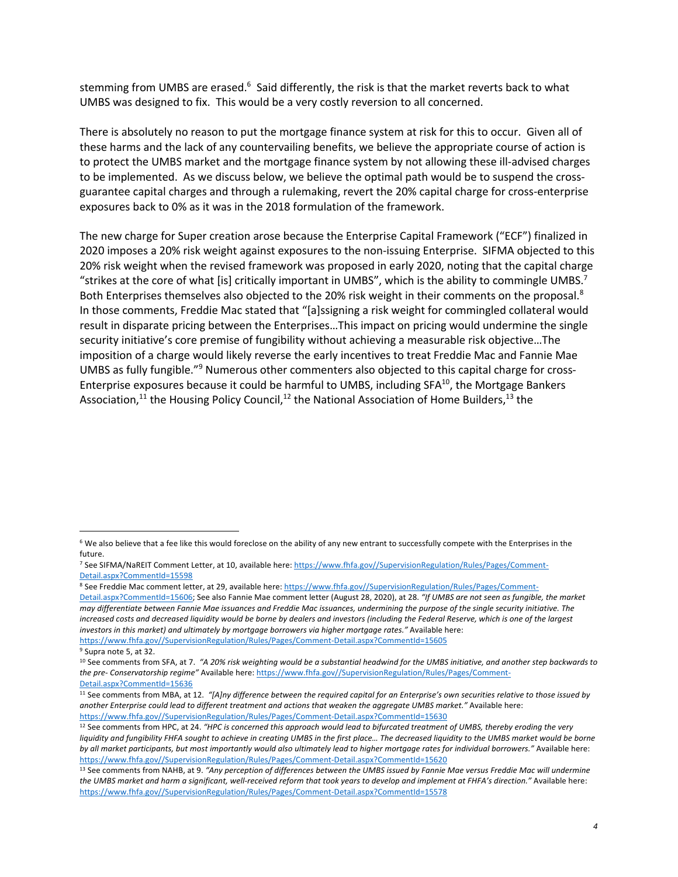stemming from UMBS are erased.<sup>6</sup> Said differently, the risk is that the market reverts back to what UMBS was designed to fix. This would be a very costly reversion to all concerned.

There is absolutely no reason to put the mortgage finance system at risk for this to occur. Given all of these harms and the lack of any countervailing benefits, we believe the appropriate course of action is to protect the UMBS market and the mortgage finance system by not allowing these ill-advised charges to be implemented. As we discuss below, we believe the optimal path would be to suspend the crossguarantee capital charges and through a rulemaking, revert the 20% capital charge for cross-enterprise exposures back to 0% as it was in the 2018 formulation of the framework.

The new charge for Super creation arose because the Enterprise Capital Framework ("ECF") finalized in 2020 imposes a 20% risk weight against exposures to the non-issuing Enterprise. SIFMA objected to this 20% risk weight when the revised framework was proposed in early 2020, noting that the capital charge "strikes at the core of what [is] critically important in UMBS", which is the ability to commingle UMBS.7 Both Enterprises themselves also objected to the 20% risk weight in their comments on the proposal.<sup>8</sup> In those comments, Freddie Mac stated that "[a]ssigning a risk weight for commingled collateral would result in disparate pricing between the Enterprises…This impact on pricing would undermine the single security initiative's core premise of fungibility without achieving a measurable risk objective…The imposition of a charge would likely reverse the early incentives to treat Freddie Mac and Fannie Mae UMBS as fully fungible."9 Numerous other commenters also objected to this capital charge for cross-Enterprise exposures because it could be harmful to UMBS, including SFA<sup>10</sup>, the Mortgage Bankers Association,<sup>11</sup> the Housing Policy Council,<sup>12</sup> the National Association of Home Builders,<sup>13</sup> the

https://www.fhfa.gov//SupervisionRegulation/Rules/Pages/Comment-Detail.aspx?CommentId=15605 <sup>9</sup> Supra note 5, at 32.

<sup>&</sup>lt;sup>6</sup> We also believe that a fee like this would foreclose on the ability of any new entrant to successfully compete with the Enterprises in the future.

<sup>7</sup> See SIFMA/NaREIT Comment Letter, at 10, available here: https://www.fhfa.gov//SupervisionRegulation/Rules/Pages/Comment-Detail.aspx?CommentId=15598

<sup>8</sup> See Freddie Mac comment letter, at 29, available here: https://www.fhfa.gov//SupervisionRegulation/Rules/Pages/Comment-Detail.aspx?CommentId=15606; See also Fannie Mae comment letter (August 28, 2020), at 28. *"If UMBS are not seen as fungible, the market may differentiate between Fannie Mae issuances and Freddie Mac issuances, undermining the purpose of the single security initiative. The increased costs and decreased liquidity would be borne by dealers and investors (including the Federal Reserve, which is one of the largest investors in this market) and ultimately by mortgage borrowers via higher mortgage rates."* Available here:

<sup>10</sup> See comments from SFA, at 7. *"A 20% risk weighting would be a substantial headwind for the UMBS initiative, and another step backwards to the pre- Conservatorship regime"* Available here: https://www.fhfa.gov//SupervisionRegulation/Rules/Pages/Comment-Detail.aspx?CommentId=15636

<sup>11</sup> See comments from MBA, at 12. *"[A]ny difference between the required capital for an Enterprise's own securities relative to those issued by another Enterprise could lead to different treatment and actions that weaken the aggregate UMBS market."* Available here: https://www.fhfa.gov//SupervisionRegulation/Rules/Pages/Comment-Detail.aspx?CommentId=15630

<sup>12</sup> See comments from HPC, at 24. *"HPC is concerned this approach would lead to bifurcated treatment of UMBS, thereby eroding the very*  liquidity and fungibility FHFA sought to achieve in creating UMBS in the first place... The decreased liquidity to the UMBS market would be borne *by all market participants, but most importantly would also ultimately lead to higher mortgage rates for individual borrowers."* Available here: https://www.fhfa.gov//SupervisionRegulation/Rules/Pages/Comment-Detail.aspx?CommentId=15620

<sup>13</sup> See comments from NAHB, at 9. *"Any perception of differences between the UMBS issued by Fannie Mae versus Freddie Mac will undermine the UMBS market and harm a significant, well-received reform that took years to develop and implement at FHFA's direction."* Available here: https://www.fhfa.gov//SupervisionRegulation/Rules/Pages/Comment-Detail.aspx?CommentId=15578